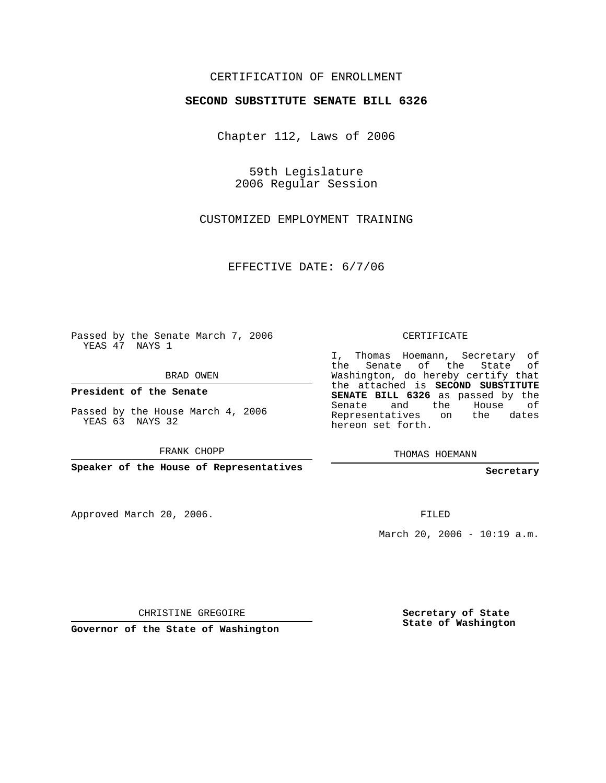## CERTIFICATION OF ENROLLMENT

#### **SECOND SUBSTITUTE SENATE BILL 6326**

Chapter 112, Laws of 2006

59th Legislature 2006 Regular Session

CUSTOMIZED EMPLOYMENT TRAINING

EFFECTIVE DATE: 6/7/06

Passed by the Senate March 7, 2006 YEAS 47 NAYS 1

BRAD OWEN

**President of the Senate**

Passed by the House March 4, 2006 YEAS 63 NAYS 32

FRANK CHOPP

**Speaker of the House of Representatives**

Approved March 20, 2006.

CERTIFICATE

I, Thomas Hoemann, Secretary of the Senate of the State of Washington, do hereby certify that the attached is **SECOND SUBSTITUTE SENATE BILL 6326** as passed by the Senate and the House of Representatives on the dates hereon set forth.

THOMAS HOEMANN

**Secretary**

FILED

March 20, 2006 - 10:19 a.m.

CHRISTINE GREGOIRE

**Governor of the State of Washington**

**Secretary of State State of Washington**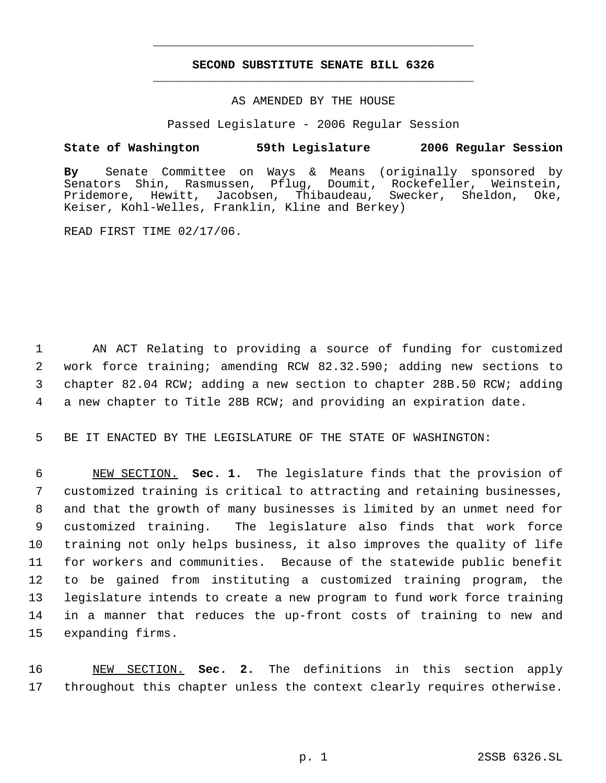# **SECOND SUBSTITUTE SENATE BILL 6326** \_\_\_\_\_\_\_\_\_\_\_\_\_\_\_\_\_\_\_\_\_\_\_\_\_\_\_\_\_\_\_\_\_\_\_\_\_\_\_\_\_\_\_\_\_

\_\_\_\_\_\_\_\_\_\_\_\_\_\_\_\_\_\_\_\_\_\_\_\_\_\_\_\_\_\_\_\_\_\_\_\_\_\_\_\_\_\_\_\_\_

#### AS AMENDED BY THE HOUSE

Passed Legislature - 2006 Regular Session

### **State of Washington 59th Legislature 2006 Regular Session**

**By** Senate Committee on Ways & Means (originally sponsored by Senators Shin, Rasmussen, Pflug, Doumit, Rockefeller, Weinstein, Pridemore, Hewitt, Jacobsen, Thibaudeau, Swecker, Sheldon, Oke, Keiser, Kohl-Welles, Franklin, Kline and Berkey)

READ FIRST TIME 02/17/06.

 AN ACT Relating to providing a source of funding for customized work force training; amending RCW 82.32.590; adding new sections to chapter 82.04 RCW; adding a new section to chapter 28B.50 RCW; adding a new chapter to Title 28B RCW; and providing an expiration date.

5 BE IT ENACTED BY THE LEGISLATURE OF THE STATE OF WASHINGTON:

 NEW SECTION. **Sec. 1.** The legislature finds that the provision of customized training is critical to attracting and retaining businesses, and that the growth of many businesses is limited by an unmet need for customized training. The legislature also finds that work force training not only helps business, it also improves the quality of life for workers and communities. Because of the statewide public benefit to be gained from instituting a customized training program, the legislature intends to create a new program to fund work force training in a manner that reduces the up-front costs of training to new and expanding firms.

16 NEW SECTION. **Sec. 2.** The definitions in this section apply 17 throughout this chapter unless the context clearly requires otherwise.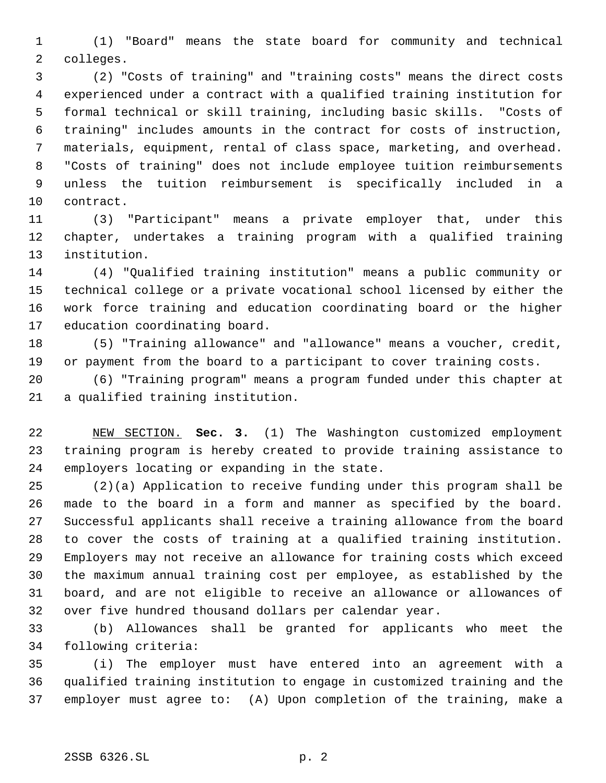(1) "Board" means the state board for community and technical colleges.

 (2) "Costs of training" and "training costs" means the direct costs experienced under a contract with a qualified training institution for formal technical or skill training, including basic skills. "Costs of training" includes amounts in the contract for costs of instruction, materials, equipment, rental of class space, marketing, and overhead. "Costs of training" does not include employee tuition reimbursements unless the tuition reimbursement is specifically included in a contract.

 (3) "Participant" means a private employer that, under this chapter, undertakes a training program with a qualified training institution.

 (4) "Qualified training institution" means a public community or technical college or a private vocational school licensed by either the work force training and education coordinating board or the higher education coordinating board.

 (5) "Training allowance" and "allowance" means a voucher, credit, or payment from the board to a participant to cover training costs.

 (6) "Training program" means a program funded under this chapter at a qualified training institution.

 NEW SECTION. **Sec. 3.** (1) The Washington customized employment training program is hereby created to provide training assistance to employers locating or expanding in the state.

 (2)(a) Application to receive funding under this program shall be made to the board in a form and manner as specified by the board. Successful applicants shall receive a training allowance from the board to cover the costs of training at a qualified training institution. Employers may not receive an allowance for training costs which exceed the maximum annual training cost per employee, as established by the board, and are not eligible to receive an allowance or allowances of over five hundred thousand dollars per calendar year.

 (b) Allowances shall be granted for applicants who meet the following criteria:

 (i) The employer must have entered into an agreement with a qualified training institution to engage in customized training and the employer must agree to: (A) Upon completion of the training, make a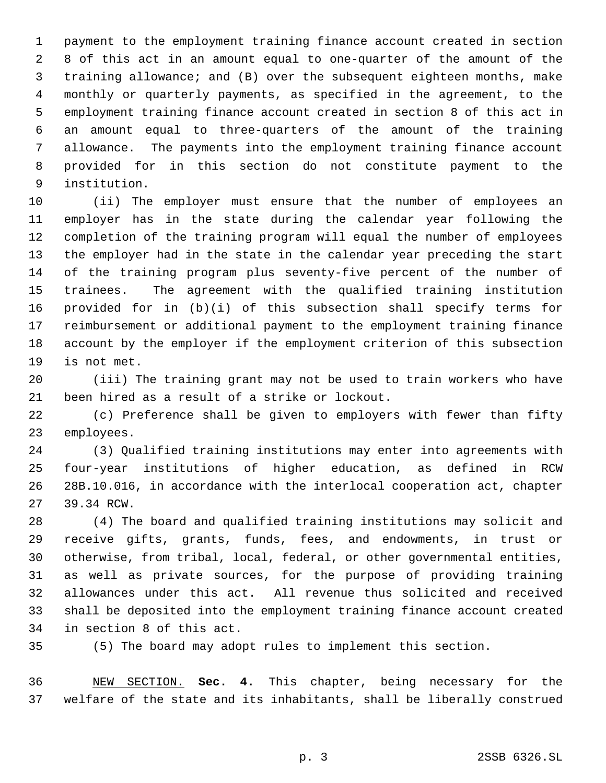payment to the employment training finance account created in section 8 of this act in an amount equal to one-quarter of the amount of the training allowance; and (B) over the subsequent eighteen months, make monthly or quarterly payments, as specified in the agreement, to the employment training finance account created in section 8 of this act in an amount equal to three-quarters of the amount of the training allowance. The payments into the employment training finance account provided for in this section do not constitute payment to the institution.

 (ii) The employer must ensure that the number of employees an employer has in the state during the calendar year following the completion of the training program will equal the number of employees the employer had in the state in the calendar year preceding the start of the training program plus seventy-five percent of the number of trainees. The agreement with the qualified training institution provided for in (b)(i) of this subsection shall specify terms for reimbursement or additional payment to the employment training finance account by the employer if the employment criterion of this subsection is not met.

 (iii) The training grant may not be used to train workers who have been hired as a result of a strike or lockout.

 (c) Preference shall be given to employers with fewer than fifty employees.

 (3) Qualified training institutions may enter into agreements with four-year institutions of higher education, as defined in RCW 28B.10.016, in accordance with the interlocal cooperation act, chapter 39.34 RCW.

 (4) The board and qualified training institutions may solicit and receive gifts, grants, funds, fees, and endowments, in trust or otherwise, from tribal, local, federal, or other governmental entities, as well as private sources, for the purpose of providing training allowances under this act. All revenue thus solicited and received shall be deposited into the employment training finance account created in section 8 of this act.

(5) The board may adopt rules to implement this section.

 NEW SECTION. **Sec. 4.** This chapter, being necessary for the welfare of the state and its inhabitants, shall be liberally construed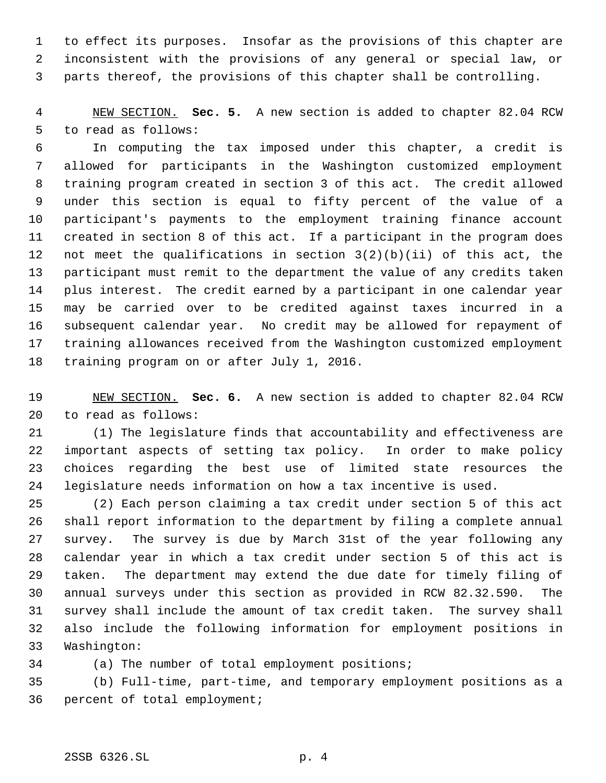to effect its purposes. Insofar as the provisions of this chapter are inconsistent with the provisions of any general or special law, or parts thereof, the provisions of this chapter shall be controlling.

 NEW SECTION. **Sec. 5.** A new section is added to chapter 82.04 RCW to read as follows:

 In computing the tax imposed under this chapter, a credit is allowed for participants in the Washington customized employment training program created in section 3 of this act. The credit allowed under this section is equal to fifty percent of the value of a participant's payments to the employment training finance account created in section 8 of this act. If a participant in the program does not meet the qualifications in section 3(2)(b)(ii) of this act, the participant must remit to the department the value of any credits taken plus interest. The credit earned by a participant in one calendar year may be carried over to be credited against taxes incurred in a subsequent calendar year. No credit may be allowed for repayment of training allowances received from the Washington customized employment training program on or after July 1, 2016.

 NEW SECTION. **Sec. 6.** A new section is added to chapter 82.04 RCW to read as follows:

 (1) The legislature finds that accountability and effectiveness are important aspects of setting tax policy. In order to make policy choices regarding the best use of limited state resources the legislature needs information on how a tax incentive is used.

 (2) Each person claiming a tax credit under section 5 of this act shall report information to the department by filing a complete annual survey. The survey is due by March 31st of the year following any calendar year in which a tax credit under section 5 of this act is taken. The department may extend the due date for timely filing of annual surveys under this section as provided in RCW 82.32.590. The survey shall include the amount of tax credit taken. The survey shall also include the following information for employment positions in Washington:

(a) The number of total employment positions;

 (b) Full-time, part-time, and temporary employment positions as a percent of total employment;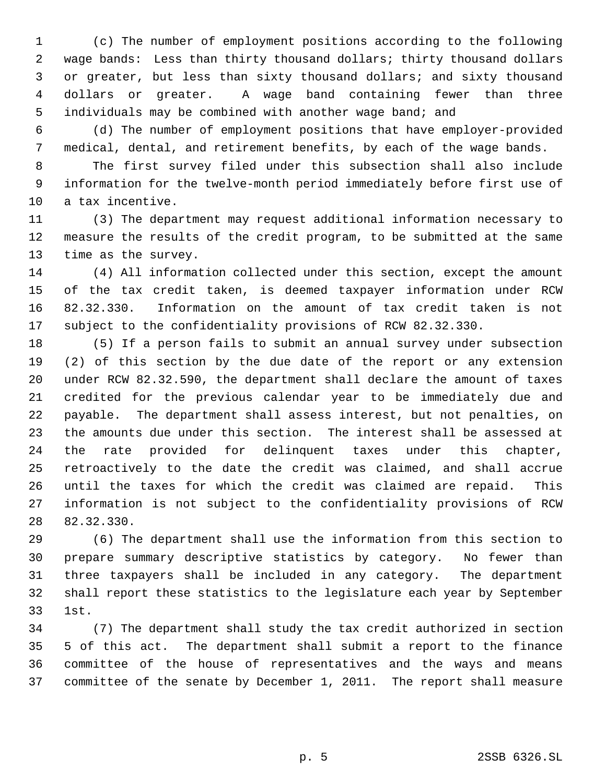(c) The number of employment positions according to the following wage bands: Less than thirty thousand dollars; thirty thousand dollars or greater, but less than sixty thousand dollars; and sixty thousand dollars or greater. A wage band containing fewer than three individuals may be combined with another wage band; and

 (d) The number of employment positions that have employer-provided medical, dental, and retirement benefits, by each of the wage bands.

 The first survey filed under this subsection shall also include information for the twelve-month period immediately before first use of a tax incentive.

 (3) The department may request additional information necessary to measure the results of the credit program, to be submitted at the same time as the survey.

 (4) All information collected under this section, except the amount of the tax credit taken, is deemed taxpayer information under RCW 82.32.330. Information on the amount of tax credit taken is not subject to the confidentiality provisions of RCW 82.32.330.

 (5) If a person fails to submit an annual survey under subsection (2) of this section by the due date of the report or any extension under RCW 82.32.590, the department shall declare the amount of taxes credited for the previous calendar year to be immediately due and payable. The department shall assess interest, but not penalties, on the amounts due under this section. The interest shall be assessed at the rate provided for delinquent taxes under this chapter, retroactively to the date the credit was claimed, and shall accrue until the taxes for which the credit was claimed are repaid. This information is not subject to the confidentiality provisions of RCW 82.32.330.

 (6) The department shall use the information from this section to prepare summary descriptive statistics by category. No fewer than three taxpayers shall be included in any category. The department shall report these statistics to the legislature each year by September 1st.

 (7) The department shall study the tax credit authorized in section 5 of this act. The department shall submit a report to the finance committee of the house of representatives and the ways and means committee of the senate by December 1, 2011. The report shall measure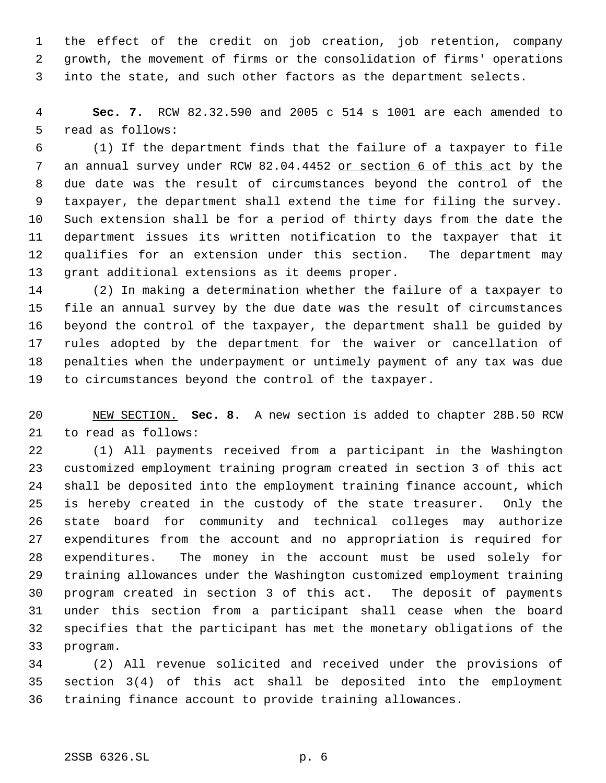the effect of the credit on job creation, job retention, company growth, the movement of firms or the consolidation of firms' operations into the state, and such other factors as the department selects.

 **Sec. 7.** RCW 82.32.590 and 2005 c 514 s 1001 are each amended to read as follows:

 (1) If the department finds that the failure of a taxpayer to file 7 an annual survey under RCW 82.04.4452 or section 6 of this act by the due date was the result of circumstances beyond the control of the taxpayer, the department shall extend the time for filing the survey. Such extension shall be for a period of thirty days from the date the department issues its written notification to the taxpayer that it qualifies for an extension under this section. The department may grant additional extensions as it deems proper.

 (2) In making a determination whether the failure of a taxpayer to file an annual survey by the due date was the result of circumstances beyond the control of the taxpayer, the department shall be guided by rules adopted by the department for the waiver or cancellation of penalties when the underpayment or untimely payment of any tax was due to circumstances beyond the control of the taxpayer.

 NEW SECTION. **Sec. 8.** A new section is added to chapter 28B.50 RCW to read as follows:

 (1) All payments received from a participant in the Washington customized employment training program created in section 3 of this act shall be deposited into the employment training finance account, which is hereby created in the custody of the state treasurer. Only the state board for community and technical colleges may authorize expenditures from the account and no appropriation is required for expenditures. The money in the account must be used solely for training allowances under the Washington customized employment training program created in section 3 of this act. The deposit of payments under this section from a participant shall cease when the board specifies that the participant has met the monetary obligations of the program.

 (2) All revenue solicited and received under the provisions of section 3(4) of this act shall be deposited into the employment training finance account to provide training allowances.